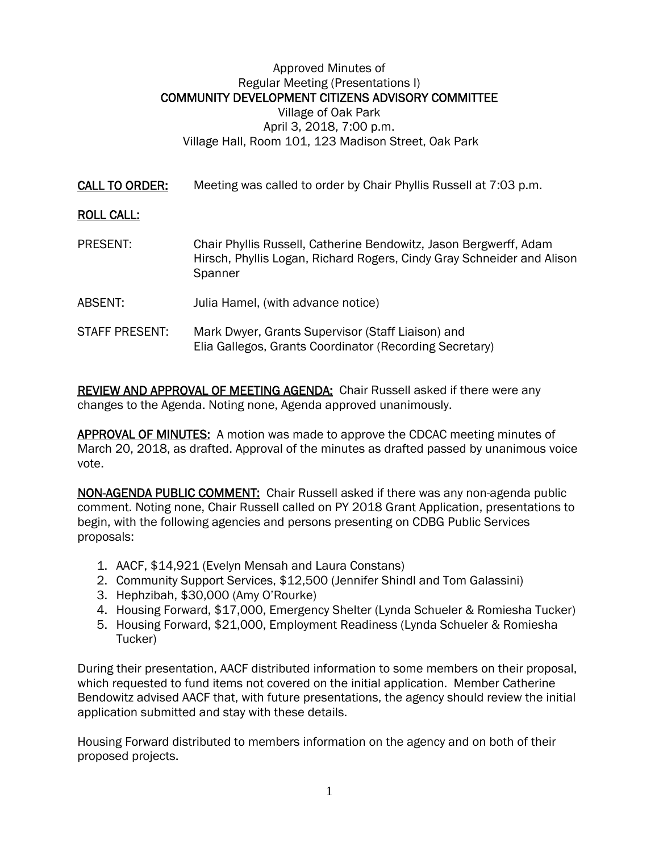## Approved Minutes of Regular Meeting (Presentations I) COMMUNITY DEVELOPMENT CITIZENS ADVISORY COMMITTEE Village of Oak Park April 3, 2018, 7:00 p.m. Village Hall, Room 101, 123 Madison Street, Oak Park

CALL TO ORDER: Meeting was called to order by Chair Phyllis Russell at 7:03 p.m.

## ROLL CALL:

- PRESENT: Chair Phyllis Russell, Catherine Bendowitz, Jason Bergwerff, Adam Hirsch, Phyllis Logan, Richard Rogers, Cindy Gray Schneider and Alison **Spanner**
- ABSENT: Julia Hamel, (with advance notice)
- STAFF PRESENT: Mark Dwyer, Grants Supervisor (Staff Liaison) and Elia Gallegos, Grants Coordinator (Recording Secretary)

REVIEW AND APPROVAL OF MEETING AGENDA: Chair Russell asked if there were any changes to the Agenda. Noting none, Agenda approved unanimously.

**APPROVAL OF MINUTES:** A motion was made to approve the CDCAC meeting minutes of March 20, 2018, as drafted. Approval of the minutes as drafted passed by unanimous voice vote.

NON-AGENDA PUBLIC COMMENT: Chair Russell asked if there was any non-agenda public comment. Noting none, Chair Russell called on PY 2018 Grant Application, presentations to begin, with the following agencies and persons presenting on CDBG Public Services proposals:

- 1. AACF, \$14,921 (Evelyn Mensah and Laura Constans)
- 2. Community Support Services, \$12,500 (Jennifer Shindl and Tom Galassini)
- 3. Hephzibah, \$30,000 (Amy O'Rourke)
- 4. Housing Forward, \$17,000, Emergency Shelter (Lynda Schueler & Romiesha Tucker)
- 5. Housing Forward, \$21,000, Employment Readiness (Lynda Schueler & Romiesha Tucker)

During their presentation, AACF distributed information to some members on their proposal, which requested to fund items not covered on the initial application. Member Catherine Bendowitz advised AACF that, with future presentations, the agency should review the initial application submitted and stay with these details.

Housing Forward distributed to members information on the agency and on both of their proposed projects.